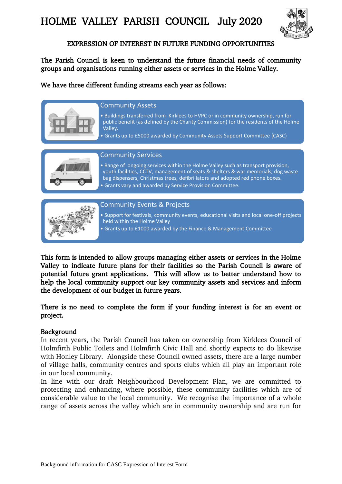

## EXPRESSION OF INTEREST IN FUTURE FUNDING OPPORTUNITIES

The Parish Council is keen to understand the future financial needs of community groups and organisations running either assets or services in the Holme Valley.

We have three different funding streams each year as follows:



• Grants up to £1000 awarded by the Finance & Management Committee

This form is intended to allow groups managing either assets or services in the Holme Valley to indicate future plans for their facilities so the Parish Council is aware of potential future grant applications. This will allow us to better understand how to help the local community support our key community assets and services and inform the development of our budget in future years.

There is no need to complete the form if your funding interest is for an event or project.

### Background

In recent years, the Parish Council has taken on ownership from Kirklees Council of Holmfirth Public Toilets and Holmfirth Civic Hall and shortly expects to do likewise with Honley Library. Alongside these Council owned assets, there are a large number of village halls, community centres and sports clubs which all play an important role in our local community.

In line with our draft Neighbourhood Development Plan, we are committed to protecting and enhancing, where possible, these community facilities which are of considerable value to the local community. We recognise the importance of a whole range of assets across the valley which are in community ownership and are run for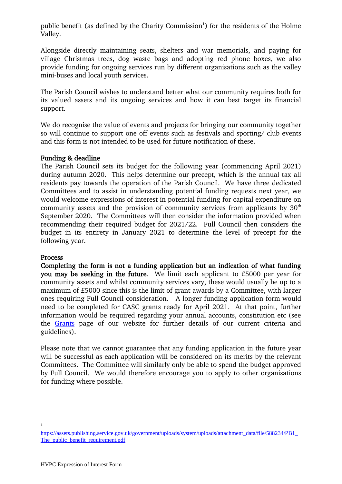public benefit (as defined by the Charity Commission<sup>1</sup>) for the residents of the Holme Valley.

Alongside directly maintaining seats, shelters and war memorials, and paying for village Christmas trees, dog waste bags and adopting red phone boxes, we also provide funding for ongoing services run by different organisations such as the valley mini-buses and local youth services.

The Parish Council wishes to understand better what our community requires both for its valued assets and its ongoing services and how it can best target its financial support.

We do recognise the value of events and projects for bringing our community together so will continue to support one off events such as festivals and sporting/ club events and this form is not intended to be used for future notification of these.

### Funding & deadline

The Parish Council sets its budget for the following year (commencing April 2021) during autumn 2020. This helps determine our precept, which is the annual tax all residents pay towards the operation of the Parish Council. We have three dedicated Committees and to assist in understanding potential funding requests next year, we would welcome expressions of interest in potential funding for capital expenditure on community assets and the provision of community services from applicants by  $30<sup>th</sup>$ September 2020. The Committees will then consider the information provided when recommending their required budget for 2021/22. Full Council then considers the budget in its entirety in January 2021 to determine the level of precept for the following year.

### Process

Completing the form is not a funding application but an indication of what funding you may be seeking in the future. We limit each applicant to £5000 per year for community assets and whilst community services vary, these would usually be up to a maximum of £5000 since this is the limit of grant awards by a Committee, with larger ones requiring Full Council consideration. A longer funding application form would need to be completed for CASC grants ready for April 2021. At that point, further information would be required regarding your annual accounts, constitution etc (see the [Grants](https://www.holmevalleyparishcouncil.gov.uk/Grants_23021.aspx) page of our website for further details of our current criteria and guidelines).

Please note that we cannot guarantee that any funding application in the future year will be successful as each application will be considered on its merits by the relevant Committees. The Committee will similarly only be able to spend the budget approved by Full Council. We would therefore encourage you to apply to other organisations for funding where possible.

 $\overline{a}$ 1

[https://assets.publishing.service.gov.uk/government/uploads/system/uploads/attachment\\_data/file/588234/PB1\\_](https://assets.publishing.service.gov.uk/government/uploads/system/uploads/attachment_data/file/588234/PB1_The_public_benefit_requirement.pdf) [The\\_public\\_benefit\\_requirement.pdf](https://assets.publishing.service.gov.uk/government/uploads/system/uploads/attachment_data/file/588234/PB1_The_public_benefit_requirement.pdf)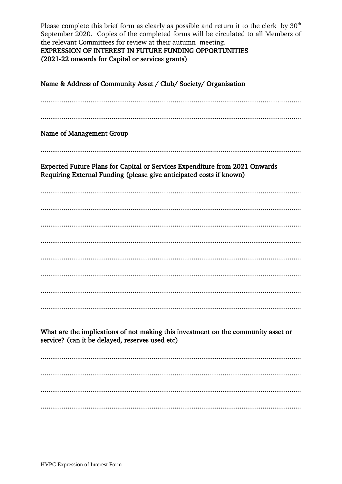Please complete this brief form as clearly as possible and return it to the clerk by  $30<sup>th</sup>$ September 2020. Copies of the completed forms will be circulated to all Members of the relevant Committees for review at their autumn meeting.

**EXPRESSION OF INTEREST IN FUTURE FUNDING OPPORTUNITIES** (2021-22 onwards for Capital or services grants)

Name & Address of Community Asset / Club/ Society/ Organisation Name of Management Group Expected Future Plans for Capital or Services Expenditure from 2021 Onwards Requiring External Funding (please give anticipated costs if known) What are the implications of not making this investment on the community asset or service? (can it be delayed, reserves used etc)